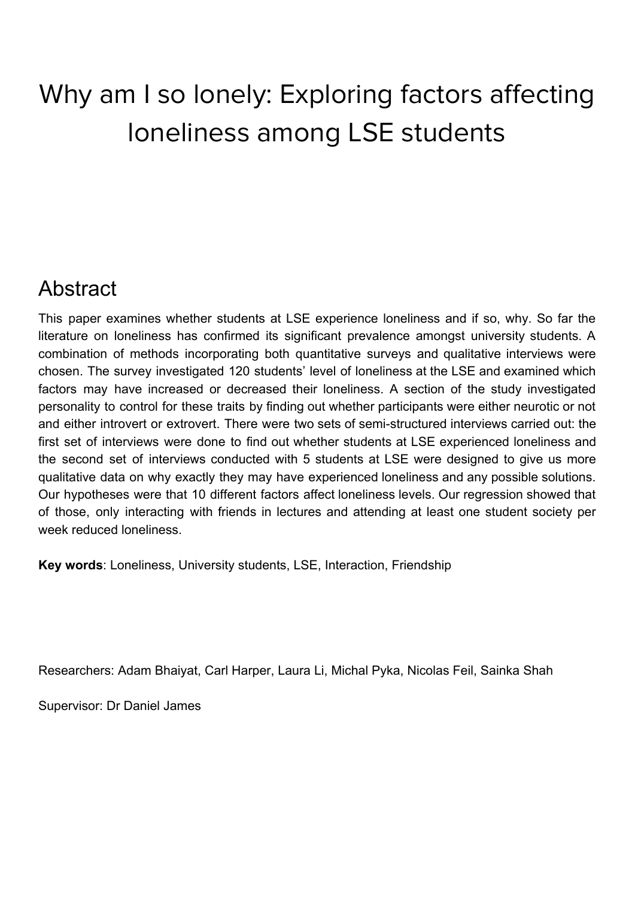# Why am I so lonely: Exploring factors affecting loneliness among LSE students

### Abstract

This paper examines whether students at LSE experience loneliness and if so, why. So far the literature on loneliness has confirmed its significant prevalence amongst university students. A combination of methods incorporating both quantitative surveys and qualitative interviews were chosen. The survey investigated 120 students' level of loneliness at the LSE and examined which factors may have increased or decreased their loneliness. A section of the study investigated personality to control for these traits by finding out whether participants were either neurotic or not and either introvert or extrovert. There were two sets of semi-structured interviews carried out: the first set of interviews were done to find out whether students at LSE experienced loneliness and the second set of interviews conducted with 5 students at LSE were designed to give us more qualitative data on why exactly they may have experienced loneliness and any possible solutions. Our hypotheses were that 10 different factors affect loneliness levels. Our regression showed that of those, only interacting with friends in lectures and attending at least one student society per week reduced loneliness.

**Key words**: Loneliness, University students, LSE, Interaction, Friendship

Researchers: Adam Bhaiyat, Carl Harper, Laura Li, Michal Pyka, Nicolas Feil, Sainka Shah

Supervisor: Dr Daniel James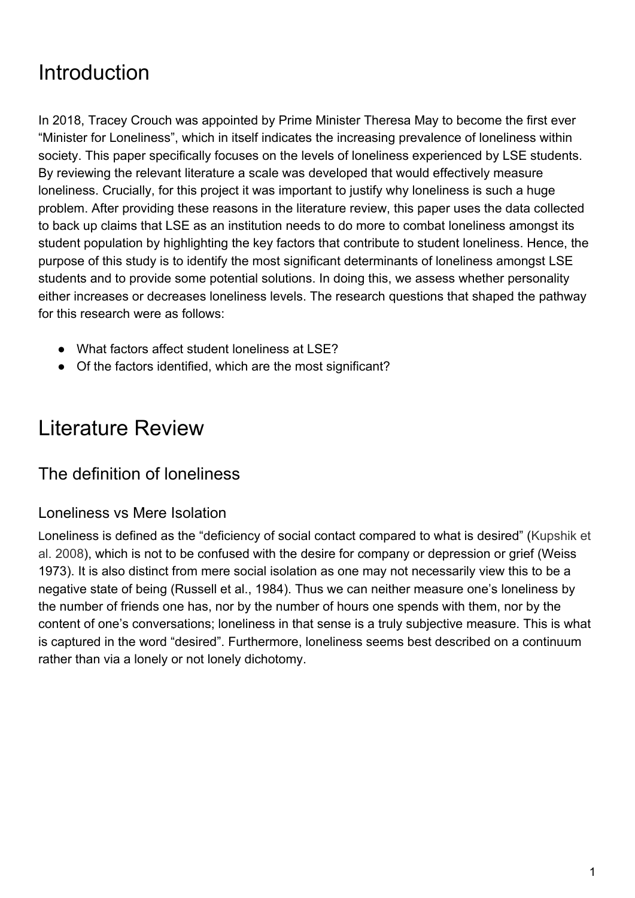# Introduction

In 2018, Tracey Crouch was appointed by Prime Minister Theresa May to become the first ever "Minister for Loneliness", which in itself indicates the increasing prevalence of loneliness within society. This paper specifically focuses on the levels of loneliness experienced by LSE students. By reviewing the relevant literature a scale was developed that would effectively measure loneliness. Crucially, for this project it was important to justify why loneliness is such a huge problem. After providing these reasons in the literature review, this paper uses the data collected to back up claims that LSE as an institution needs to do more to combat loneliness amongst its student population by highlighting the key factors that contribute to student loneliness. Hence, the purpose of this study is to identify the most significant determinants of loneliness amongst LSE students and to provide some potential solutions. In doing this, we assess whether personality either increases or decreases loneliness levels. The research questions that shaped the pathway for this research were as follows:

- What factors affect student loneliness at LSE?
- Of the factors identified, which are the most significant?

### Literature Review

### The definition of loneliness

#### Loneliness vs Mere Isolation

Loneliness is defined as the "deficiency of social contact compared to what is desired" (Kupshik et al. 2008), which is not to be confused with the desire for company or depression or grief (Weiss 1973). It is also distinct from mere social isolation as one may not necessarily view this to be a negative state of being (Russell et al., 1984). Thus we can neither measure one's loneliness by the number of friends one has, nor by the number of hours one spends with them, nor by the content of one's conversations; loneliness in that sense is a truly subjective measure. This is what is captured in the word "desired". Furthermore, loneliness seems best described on a continuum rather than via a lonely or not lonely dichotomy.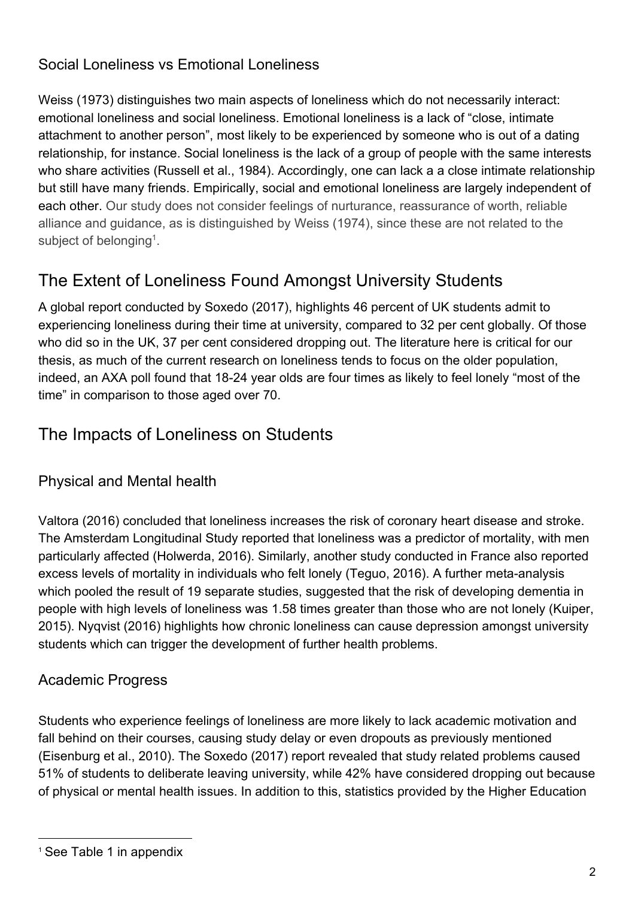#### Social Loneliness vs Emotional Loneliness

Weiss (1973) distinguishes two main aspects of loneliness which do not necessarily interact: emotional loneliness and social loneliness. Emotional loneliness is a lack of "close, intimate attachment to another person", most likely to be experienced by someone who is out of a dating relationship, for instance. Social loneliness is the lack of a group of people with the same interests who share activities (Russell et al., 1984). Accordingly, one can lack a a close intimate relationship but still have many friends. Empirically, social and emotional loneliness are largely independent of each other. Our study does not consider feelings of nurturance, reassurance of worth, reliable alliance and guidance, as is distinguished by Weiss (1974), since these are not related to the subject of belonging $<sup>1</sup>$ .</sup>

### The Extent of Loneliness Found Amongst University Students

A global report conducted by Soxedo (2017), highlights 46 percent of UK students admit to experiencing loneliness during their time at university, compared to 32 per cent globally. Of those who did so in the UK, 37 per cent considered dropping out. The literature here is critical for our thesis, as much of the current research on loneliness tends to focus on the older population, indeed, an AXA poll found that 18-24 year olds are four times as likely to feel lonely "most of the time" in comparison to those aged over 70.

### The Impacts of Loneliness on Students

#### Physical and Mental health

Valtora (2016) concluded that loneliness increases the risk of coronary heart disease and stroke. The Amsterdam Longitudinal Study reported that loneliness was a predictor of mortality, with men particularly affected (Holwerda, 2016). Similarly, another study conducted in France also reported excess levels of mortality in individuals who felt lonely (Teguo, 2016). A further meta-analysis which pooled the result of 19 separate studies, suggested that the risk of developing dementia in people with high levels of loneliness was 1.58 times greater than those who are not lonely (Kuiper, 2015). Nyqvist (2016) highlights how chronic loneliness can cause depression amongst university students which can trigger the development of further health problems.

#### Academic Progress

Students who experience feelings of loneliness are more likely to lack academic motivation and fall behind on their courses, causing study delay or even dropouts as previously mentioned (Eisenburg et al., 2010). The Soxedo (2017) report revealed that study related problems caused 51% of students to deliberate leaving university, while 42% have considered dropping out because of physical or mental health issues. In addition to this, statistics provided by the Higher Education

<sup>1</sup> See Table 1 in appendix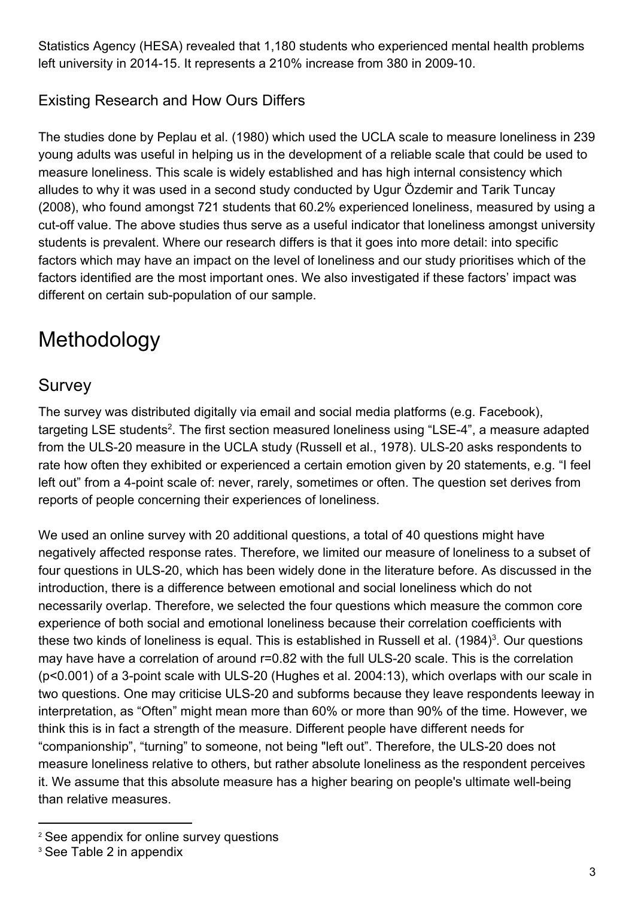Statistics Agency (HESA) revealed that 1,180 students who experienced mental health problems left university in 2014-15. It represents a 210% increase from 380 in 2009-10.

#### Existing Research and How Ours Differs

The studies done by Peplau et al. (1980) which used the UCLA scale to measure loneliness in 239 young adults was useful in helping us in the development of a reliable scale that could be used to measure loneliness. This scale is widely established and has high internal consistency which alludes to why it was used in a second study conducted by Ugur Özdemir and Tarik Tuncay (2008), who found amongst 721 students that 60.2% experienced loneliness, measured by using a cut-off value. The above studies thus serve as a useful indicator that loneliness amongst university students is prevalent. Where our research differs is that it goes into more detail: into specific factors which may have an impact on the level of loneliness and our study prioritises which of the factors identified are the most important ones. We also investigated if these factors' impact was different on certain sub-population of our sample.

# Methodology

### Survey

The survey was distributed digitally via email and social media platforms (e.g. Facebook), targeting LSE students<sup>2</sup>. The first section measured loneliness using "LSE-4", a measure adapted from the ULS-20 measure in the UCLA study (Russell et al., 1978). ULS-20 asks respondents to rate how often they exhibited or experienced a certain emotion given by 20 statements, e.g. "I feel left out" from a 4-point scale of: never, rarely, sometimes or often. The question set derives from reports of people concerning their experiences of loneliness.

We used an online survey with 20 additional questions, a total of 40 questions might have negatively affected response rates. Therefore, we limited our measure of loneliness to a subset of four questions in ULS-20, which has been widely done in the literature before. As discussed in the introduction, there is a difference between emotional and social loneliness which do not necessarily overlap. Therefore, we selected the four questions which measure the common core experience of both social and emotional loneliness because their correlation coefficients with these two kinds of loneliness is equal. This is established in Russell et al.  $(1984)^3$ . Our questions may have have a correlation of around r=0.82 with the full ULS-20 scale. This is the correlation (p<0.001) of a 3-point scale with ULS-20 (Hughes et al. 2004:13), which overlaps with our scale in two questions. One may criticise ULS-20 and subforms because they leave respondents leeway in interpretation, as "Often" might mean more than 60% or more than 90% of the time. However, we think this is in fact a strength of the measure. Different people have different needs for "companionship", "turning" to someone, not being "left out". Therefore, the ULS-20 does not measure loneliness relative to others, but rather absolute loneliness as the respondent perceives it. We assume that this absolute measure has a higher bearing on people's ultimate well-being than relative measures.

<sup>&</sup>lt;sup>2</sup> See appendix for online survey questions

<sup>&</sup>lt;sup>3</sup> See Table 2 in appendix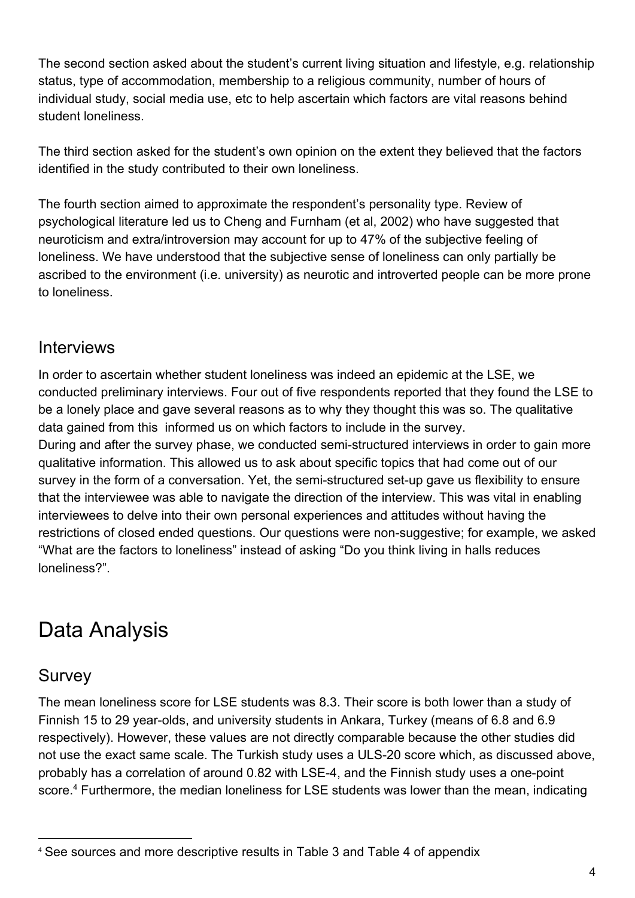The second section asked about the student's current living situation and lifestyle, e.g. relationship status, type of accommodation, membership to a religious community, number of hours of individual study, social media use, etc to help ascertain which factors are vital reasons behind student loneliness.

The third section asked for the student's own opinion on the extent they believed that the factors identified in the study contributed to their own loneliness.

The fourth section aimed to approximate the respondent's personality type. Review of psychological literature led us to Cheng and Furnham (et al, 2002) who have suggested that neuroticism and extra/introversion may account for up to 47% of the subjective feeling of loneliness. We have understood that the subjective sense of loneliness can only partially be ascribed to the environment (i.e. university) as neurotic and introverted people can be more prone to loneliness.

#### Interviews

In order to ascertain whether student loneliness was indeed an epidemic at the LSE, we conducted preliminary interviews. Four out of five respondents reported that they found the LSE to be a lonely place and gave several reasons as to why they thought this was so. The qualitative data gained from this informed us on which factors to include in the survey. During and after the survey phase, we conducted semi-structured interviews in order to gain more qualitative information. This allowed us to ask about specific topics that had come out of our survey in the form of a conversation. Yet, the semi-structured set-up gave us flexibility to ensure that the interviewee was able to navigate the direction of the interview. This was vital in enabling interviewees to delve into their own personal experiences and attitudes without having the restrictions of closed ended questions. Our questions were non-suggestive; for example, we asked "What are the factors to loneliness" instead of asking "Do you think living in halls reduces loneliness?".

# Data Analysis

### **Survey**

The mean loneliness score for LSE students was 8.3. Their score is both lower than a study of Finnish 15 to 29 year-olds, and university students in Ankara, Turkey (means of 6.8 and 6.9 respectively). However, these values are not directly comparable because the other studies did not use the exact same scale. The Turkish study uses a ULS-20 score which, as discussed above, probably has a correlation of around 0.82 with LSE-4, and the Finnish study uses a one-point score.<sup>4</sup> Furthermore, the median loneliness for LSE students was lower than the mean, indicating

<sup>4</sup> See sources and more descriptive results in Table 3 and Table 4 of appendix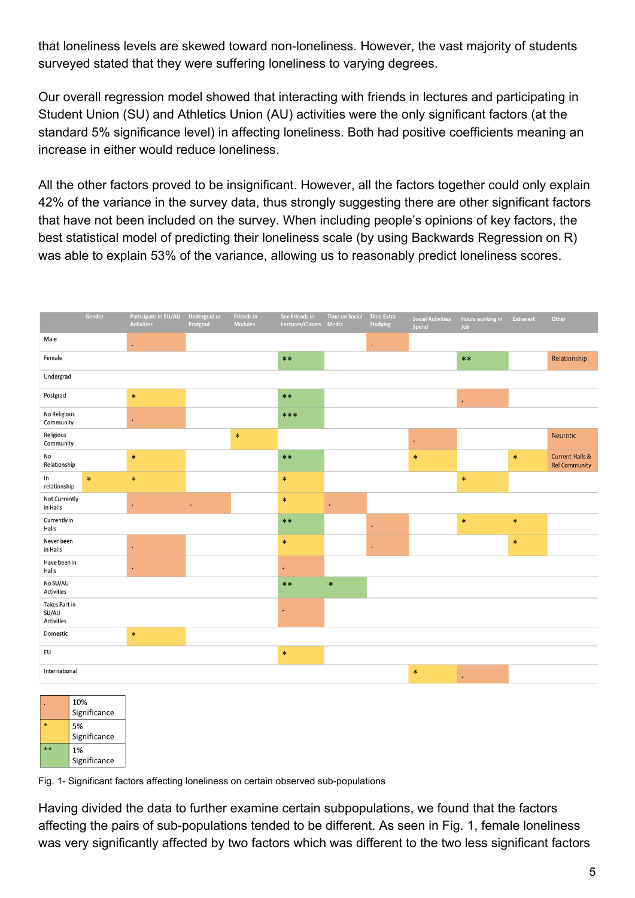that loneliness levels are skewed toward non-loneliness. However, the vast majority of students surveyed stated that they were suffering loneliness to varying degrees.

Our overall regression model showed that interacting with friends in lectures and participating in Student Union (SU) and Athletics Union (AU) activities were the only significant factors (at the standard 5% significance level) in affecting loneliness. Both had positive coefficients meaning an increase in either would reduce loneliness.

All the other factors proved to be insignificant. However, all the factors together could only explain 42% of the variance in the survey data, thus strongly suggesting there are other significant factors that have not been included on the survey. When including people's opinions of key factors, the best statistical model of predicting their loneliness scale (by using Backwards Regression on R) was able to explain 53% of the variance, allowing us to reasonably predict loneliness scores.



Fig. 1- Significant factors affecting loneliness on certain observed sub-populations

Having divided the data to further examine certain subpopulations, we found that the factors affecting the pairs of sub-populations tended to be different. As seen in Fig. 1, female loneliness was very significantly affected by two factors which was different to the two less significant factors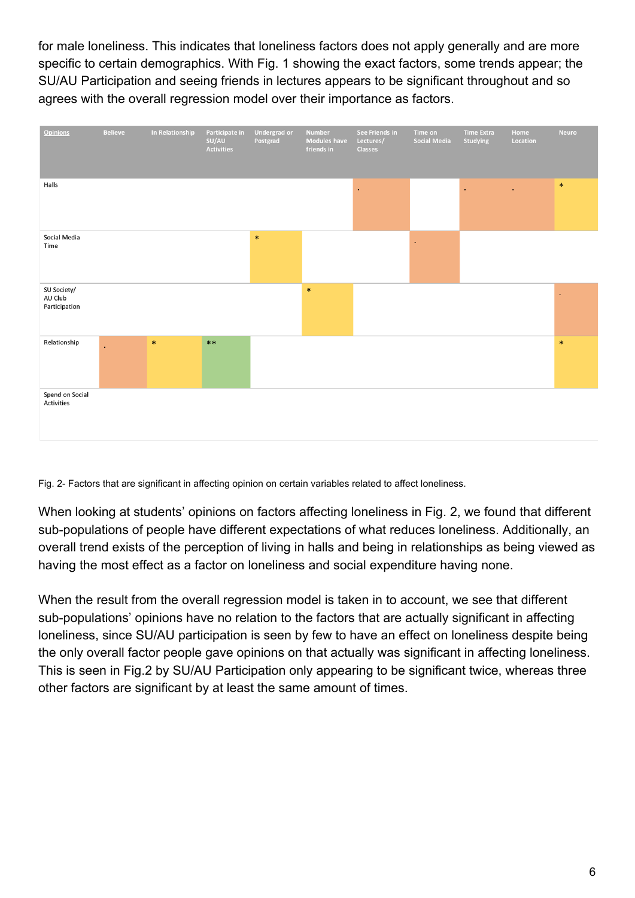for male loneliness. This indicates that loneliness factors does not apply generally and are more specific to certain demographics. With Fig. 1 showing the exact factors, some trends appear; the SU/AU Participation and seeing friends in lectures appears to be significant throughout and so agrees with the overall regression model over their importance as factors.



#### Fig. 2- Factors that are significant in affecting opinion on certain variables related to affect loneliness.

When looking at students' opinions on factors affecting loneliness in Fig. 2, we found that different sub-populations of people have different expectations of what reduces loneliness. Additionally, an overall trend exists of the perception of living in halls and being in relationships as being viewed as having the most effect as a factor on loneliness and social expenditure having none.

When the result from the overall regression model is taken in to account, we see that different sub-populations' opinions have no relation to the factors that are actually significant in affecting loneliness, since SU/AU participation is seen by few to have an effect on loneliness despite being the only overall factor people gave opinions on that actually was significant in affecting loneliness. This is seen in Fig.2 by SU/AU Participation only appearing to be significant twice, whereas three other factors are significant by at least the same amount of times.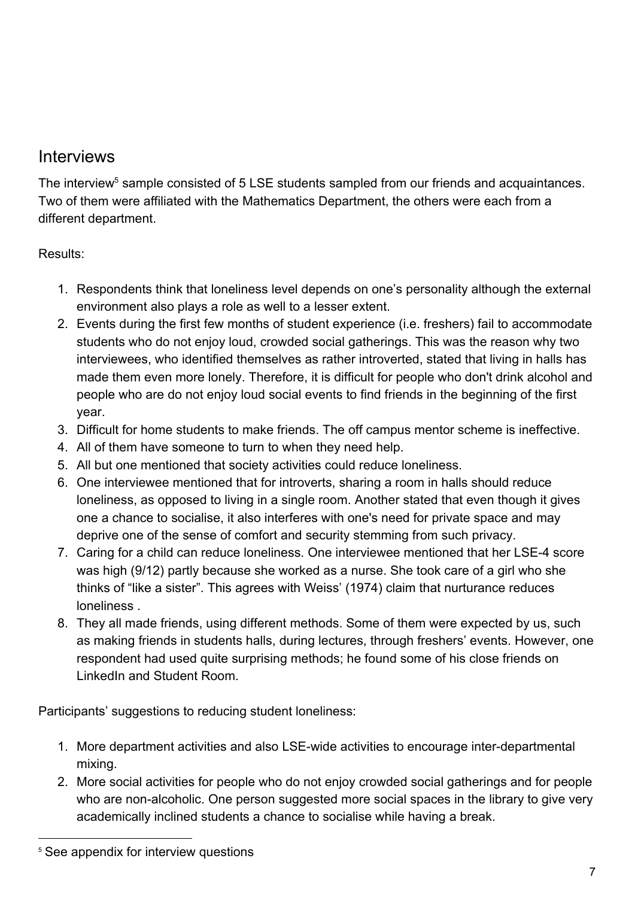### **Interviews**

The interview<sup>5</sup> sample consisted of 5 LSE students sampled from our friends and acquaintances. Two of them were affiliated with the Mathematics Department, the others were each from a different department.

Results:

- 1. Respondents think that loneliness level depends on one's personality although the external environment also plays a role as well to a lesser extent.
- 2. Events during the first few months of student experience (i.e. freshers) fail to accommodate students who do not enjoy loud, crowded social gatherings. This was the reason why two interviewees, who identified themselves as rather introverted, stated that living in halls has made them even more lonely. Therefore, it is difficult for people who don't drink alcohol and people who are do not enjoy loud social events to find friends in the beginning of the first year.
- 3. Difficult for home students to make friends. The off campus mentor scheme is ineffective.
- 4. All of them have someone to turn to when they need help.
- 5. All but one mentioned that society activities could reduce loneliness.
- 6. One interviewee mentioned that for introverts, sharing a room in halls should reduce loneliness, as opposed to living in a single room. Another stated that even though it gives one a chance to socialise, it also interferes with one's need for private space and may deprive one of the sense of comfort and security stemming from such privacy.
- 7. Caring for a child can reduce loneliness. One interviewee mentioned that her LSE-4 score was high (9/12) partly because she worked as a nurse. She took care of a girl who she thinks of "like a sister". This agrees with Weiss' (1974) claim that nurturance reduces loneliness .
- 8. They all made friends, using different methods. Some of them were expected by us, such as making friends in students halls, during lectures, through freshers' events. However, one respondent had used quite surprising methods; he found some of his close friends on LinkedIn and Student Room.

Participants' suggestions to reducing student loneliness:

- 1. More department activities and also LSE-wide activities to encourage inter-departmental mixing.
- 2. More social activities for people who do not enjoy crowded social gatherings and for people who are non-alcoholic. One person suggested more social spaces in the library to give very academically inclined students a chance to socialise while having a break.

<sup>&</sup>lt;sup>5</sup> See appendix for interview questions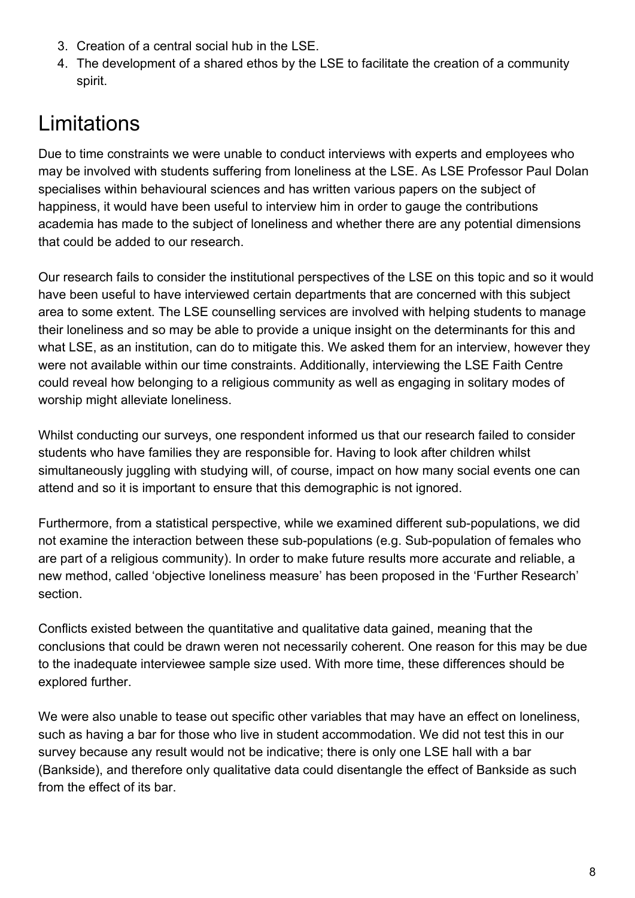- 3. Creation of a central social hub in the LSE.
- 4. The development of a shared ethos by the LSE to facilitate the creation of a community spirit.

# Limitations

Due to time constraints we were unable to conduct interviews with experts and employees who may be involved with students suffering from loneliness at the LSE. As LSE Professor Paul Dolan specialises within behavioural sciences and has written various papers on the subject of happiness, it would have been useful to interview him in order to gauge the contributions academia has made to the subject of loneliness and whether there are any potential dimensions that could be added to our research.

Our research fails to consider the institutional perspectives of the LSE on this topic and so it would have been useful to have interviewed certain departments that are concerned with this subject area to some extent. The LSE counselling services are involved with helping students to manage their loneliness and so may be able to provide a unique insight on the determinants for this and what LSE, as an institution, can do to mitigate this. We asked them for an interview, however they were not available within our time constraints. Additionally, interviewing the LSE Faith Centre could reveal how belonging to a religious community as well as engaging in solitary modes of worship might alleviate loneliness.

Whilst conducting our surveys, one respondent informed us that our research failed to consider students who have families they are responsible for. Having to look after children whilst simultaneously juggling with studying will, of course, impact on how many social events one can attend and so it is important to ensure that this demographic is not ignored.

Furthermore, from a statistical perspective, while we examined different sub-populations, we did not examine the interaction between these sub-populations (e.g. Sub-population of females who are part of a religious community). In order to make future results more accurate and reliable, a new method, called 'objective loneliness measure' has been proposed in the 'Further Research' section.

Conflicts existed between the quantitative and qualitative data gained, meaning that the conclusions that could be drawn weren not necessarily coherent. One reason for this may be due to the inadequate interviewee sample size used. With more time, these differences should be explored further.

We were also unable to tease out specific other variables that may have an effect on loneliness, such as having a bar for those who live in student accommodation. We did not test this in our survey because any result would not be indicative; there is only one LSE hall with a bar (Bankside), and therefore only qualitative data could disentangle the effect of Bankside as such from the effect of its bar.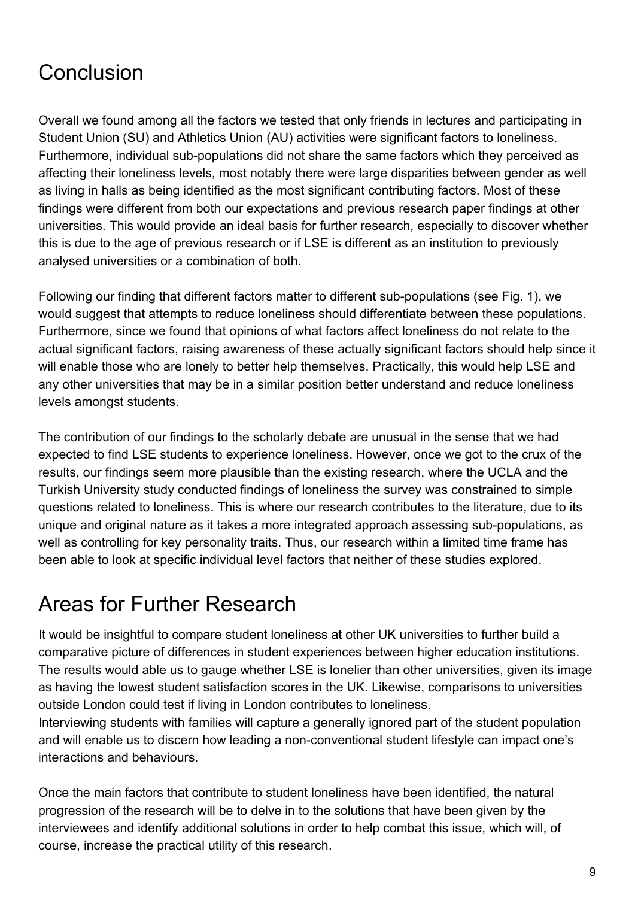# **Conclusion**

Overall we found among all the factors we tested that only friends in lectures and participating in Student Union (SU) and Athletics Union (AU) activities were significant factors to loneliness. Furthermore, individual sub-populations did not share the same factors which they perceived as affecting their loneliness levels, most notably there were large disparities between gender as well as living in halls as being identified as the most significant contributing factors. Most of these findings were different from both our expectations and previous research paper findings at other universities. This would provide an ideal basis for further research, especially to discover whether this is due to the age of previous research or if LSE is different as an institution to previously analysed universities or a combination of both.

Following our finding that different factors matter to different sub-populations (see Fig. 1), we would suggest that attempts to reduce loneliness should differentiate between these populations. Furthermore, since we found that opinions of what factors affect loneliness do not relate to the actual significant factors, raising awareness of these actually significant factors should help since it will enable those who are lonely to better help themselves. Practically, this would help LSE and any other universities that may be in a similar position better understand and reduce loneliness levels amongst students.

The contribution of our findings to the scholarly debate are unusual in the sense that we had expected to find LSE students to experience loneliness. However, once we got to the crux of the results, our findings seem more plausible than the existing research, where the UCLA and the Turkish University study conducted findings of loneliness the survey was constrained to simple questions related to loneliness. This is where our research contributes to the literature, due to its unique and original nature as it takes a more integrated approach assessing sub-populations, as well as controlling for key personality traits. Thus, our research within a limited time frame has been able to look at specific individual level factors that neither of these studies explored.

### Areas for Further Research

It would be insightful to compare student loneliness at other UK universities to further build a comparative picture of differences in student experiences between higher education institutions. The results would able us to gauge whether LSE is lonelier than other universities, given its image as having the lowest student satisfaction scores in the UK. Likewise, comparisons to universities outside London could test if living in London contributes to loneliness.

Interviewing students with families will capture a generally ignored part of the student population and will enable us to discern how leading a non-conventional student lifestyle can impact one's interactions and behaviours.

Once the main factors that contribute to student loneliness have been identified, the natural progression of the research will be to delve in to the solutions that have been given by the interviewees and identify additional solutions in order to help combat this issue, which will, of course, increase the practical utility of this research.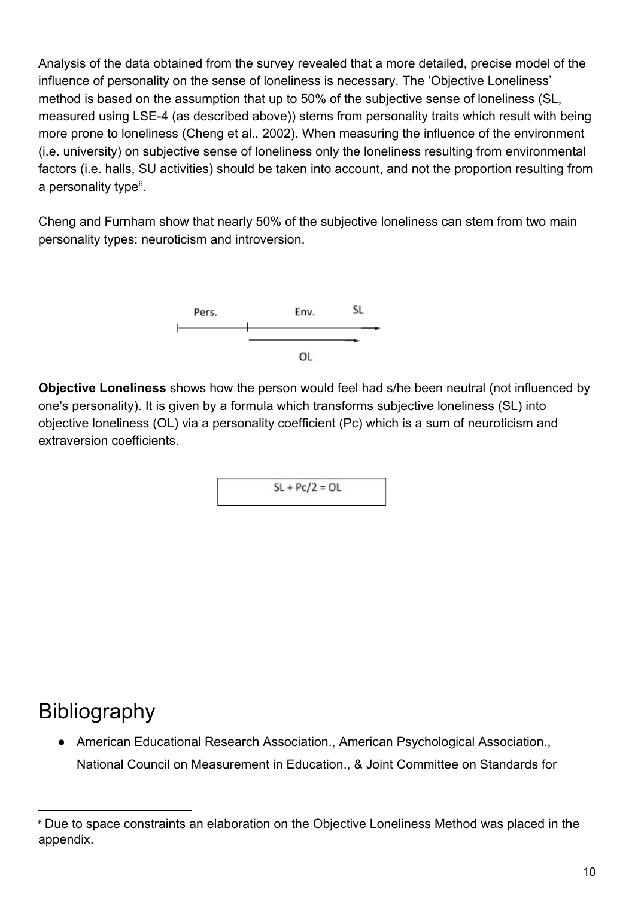Analysis of the data obtained from the survey revealed that a more detailed, precise model of the influence of personality on the sense of loneliness is necessary. The 'Objective Loneliness' method is based on the assumption that up to 50% of the subjective sense of loneliness (SL, measured using LSE-4 (as described above)) stems from personality traits which result with being more prone to loneliness (Cheng et al., 2002). When measuring the influence of the environment (i.e. university) on subjective sense of loneliness only the loneliness resulting from environmental factors (i.e. halls, SU activities) should be taken into account, and not the proportion resulting from a personality type<sup>6</sup>.

Cheng and Furnham show that nearly 50% of the subjective loneliness can stem from two main personality types: neuroticism and introversion.



**Objective Loneliness** shows how the person would feel had s/he been neutral (not influenced by one's personality). It is given by a formula which transforms subjective loneliness (SL) into objective loneliness (OL) via a personality coefficient (Pc) which is a sum of neuroticism and extraversion coefficients.

 $SL + Pc/2 = OL$ 

### Bibliography

● American Educational Research Association., American Psychological Association., National Council on Measurement in Education., & Joint Committee on Standards for

<sup>&</sup>lt;sup>6</sup> Due to space constraints an elaboration on the Objective Loneliness Method was placed in the appendix.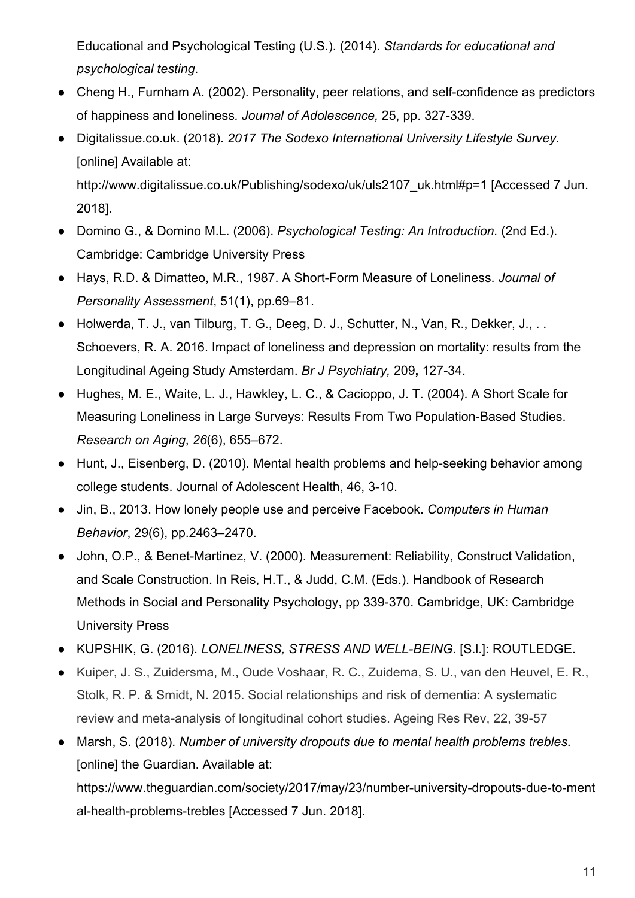Educational and Psychological Testing (U.S.). (2014). *Standards for educational and psychological testing*.

- Cheng H., Furnham A. (2002). Personality, peer relations, and self-confidence as predictors of happiness and loneliness*. Journal of Adolescence,* 25, pp. 327-339.
- Digitalissue.co.uk. (2018). *2017 The Sodexo International University Lifestyle Survey*. [online] Available at: http://www.digitalissue.co.uk/Publishing/sodexo/uk/uls2107\_uk.html#p=1 [Accessed 7 Jun. 2018].
- Domino G., & Domino M.L. (2006). *Psychological Testing: An Introduction.* (2nd Ed.). Cambridge: Cambridge University Press
- Hays, R.D. & Dimatteo, M.R., 1987. A Short-Form Measure of Loneliness. *Journal of Personality Assessment*, 51(1), pp.69–81.
- Holwerda, T. J., van Tilburg, T. G., Deeg, D. J., Schutter, N., Van, R., Dekker, J., .. Schoevers, R. A. 2016. Impact of loneliness and depression on mortality: results from the Longitudinal Ageing Study Amsterdam. *Br J Psychiatry,* 209**,** 127-34.
- Hughes, M. E., Waite, L. J., Hawkley, L. C., & Cacioppo, J. T. (2004). A Short Scale for Measuring Loneliness in Large Surveys: Results From Two Population-Based Studies. *Research on Aging*, *26*(6), 655–672.
- Hunt, J., Eisenberg, D. (2010). Mental health problems and help-seeking behavior among college students. Journal of Adolescent Health, 46, 3-10.
- Jin, B., 2013. How lonely people use and perceive Facebook. *Computers in Human Behavior*, 29(6), pp.2463–2470.
- John, O.P., & Benet-Martinez, V. (2000). Measurement: Reliability, Construct Validation, and Scale Construction. In Reis, H.T., & Judd, C.M. (Eds.). Handbook of Research Methods in Social and Personality Psychology, pp 339-370. Cambridge, UK: Cambridge University Press
- KUPSHIK, G. (2016). *LONELINESS, STRESS AND WELL-BEING*. [S.l.]: ROUTLEDGE.
- Kuiper, J. S., Zuidersma, M., Oude Voshaar, R. C., Zuidema, S. U., van den Heuvel, E. R., Stolk, R. P. & Smidt, N. 2015. Social relationships and risk of dementia: A systematic review and meta-analysis of longitudinal cohort studies. Ageing Res Rev, 22, 39-57
- Marsh, S. (2018). *Number of university dropouts due to mental health problems trebles*. [online] the Guardian. Available at: https://www.theguardian.com/society/2017/may/23/number-university-dropouts-due-to-ment al-health-problems-trebles [Accessed 7 Jun. 2018].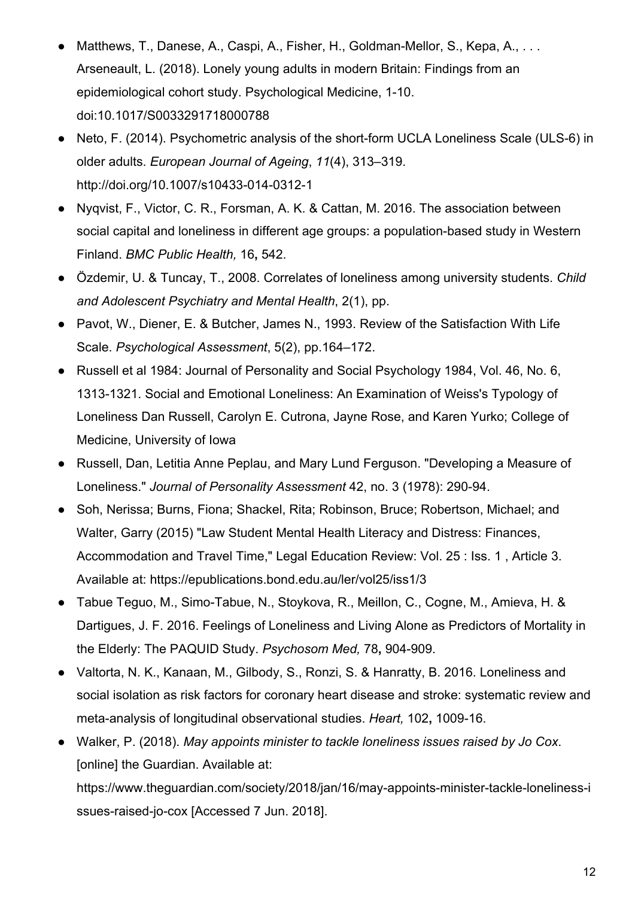- Matthews, T., Danese, A., Caspi, A., Fisher, H., Goldman-Mellor, S., Kepa, A., . . . Arseneault, L. (2018). Lonely young adults in modern Britain: Findings from an epidemiological cohort study. Psychological Medicine, 1-10. doi:10.1017/S0033291718000788
- Neto, F. (2014). Psychometric analysis of the short-form UCLA Loneliness Scale (ULS-6) in older adults. *European Journal of Ageing*, *11*(4), 313–319. http://doi.org/10.1007/s10433-014-0312-1
- Nyqvist, F., Victor, C. R., Forsman, A. K. & Cattan, M. 2016. The association between social capital and loneliness in different age groups: a population-based study in Western Finland. *BMC Public Health,* 16**,** 542.
- Özdemir, U. & Tuncay, T., 2008. Correlates of loneliness among university students. *Child and Adolescent Psychiatry and Mental Health*, 2(1), pp.
- Pavot, W., Diener, E. & Butcher, James N., 1993. Review of the Satisfaction With Life Scale. *Psychological Assessment*, 5(2), pp.164–172.
- Russell et al 1984: Journal of Personality and Social Psychology 1984, Vol. 46, No. 6, 1313-1321. Social and Emotional Loneliness: An Examination of Weiss's Typology of Loneliness Dan Russell, Carolyn E. Cutrona, Jayne Rose, and Karen Yurko; College of Medicine, University of Iowa
- Russell, Dan, Letitia Anne Peplau, and Mary Lund Ferguson. "Developing a Measure of Loneliness." *Journal of Personality Assessment* 42, no. 3 (1978): 290-94.
- Soh, Nerissa; Burns, Fiona; Shackel, Rita; Robinson, Bruce; Robertson, Michael; and Walter, Garry (2015) "Law Student Mental Health Literacy and Distress: Finances, Accommodation and Travel Time," Legal Education Review: Vol. 25 : Iss. 1 , Article 3. Available at: https://epublications.bond.edu.au/ler/vol25/iss1/3
- Tabue Teguo, M., Simo-Tabue, N., Stoykova, R., Meillon, C., Cogne, M., Amieva, H. & Dartigues, J. F. 2016. Feelings of Loneliness and Living Alone as Predictors of Mortality in the Elderly: The PAQUID Study. *Psychosom Med,* 78**,** 904-909.
- Valtorta, N. K., Kanaan, M., Gilbody, S., Ronzi, S. & Hanratty, B. 2016. Loneliness and social isolation as risk factors for coronary heart disease and stroke: systematic review and meta-analysis of longitudinal observational studies. *Heart,* 102**,** 1009-16.
- Walker, P. (2018). *May appoints minister to tackle loneliness issues raised by Jo Cox*. [online] the Guardian. Available at: https://www.theguardian.com/society/2018/jan/16/may-appoints-minister-tackle-loneliness-i ssues-raised-jo-cox [Accessed 7 Jun. 2018].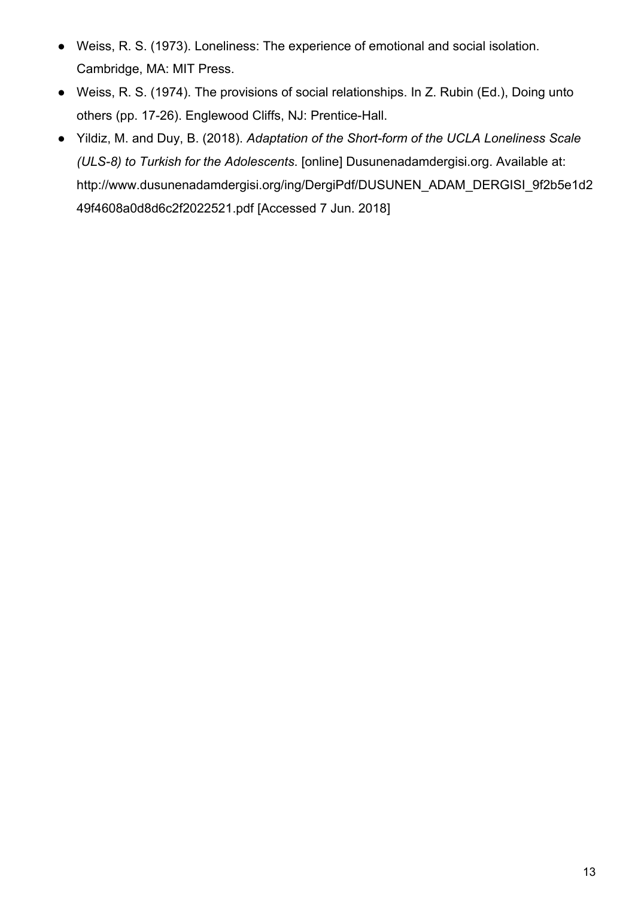- Weiss, R. S. (1973). Loneliness: The experience of emotional and social isolation. Cambridge, MA: MIT Press.
- Weiss, R. S. (1974). The provisions of social relationships. In Z. Rubin (Ed.), Doing unto others (pp. 17-26). Englewood Cliffs, NJ: Prentice-Hall.
- Yildiz, M. and Duy, B. (2018). *Adaptation of the Short-form of the UCLA Loneliness Scale (ULS-8) to Turkish for the Adolescents*. [online] Dusunenadamdergisi.org. Available at: http://www.dusunenadamdergisi.org/ing/DergiPdf/DUSUNEN\_ADAM\_DERGISI\_9f2b5e1d2 49f4608a0d8d6c2f2022521.pdf [Accessed 7 Jun. 2018]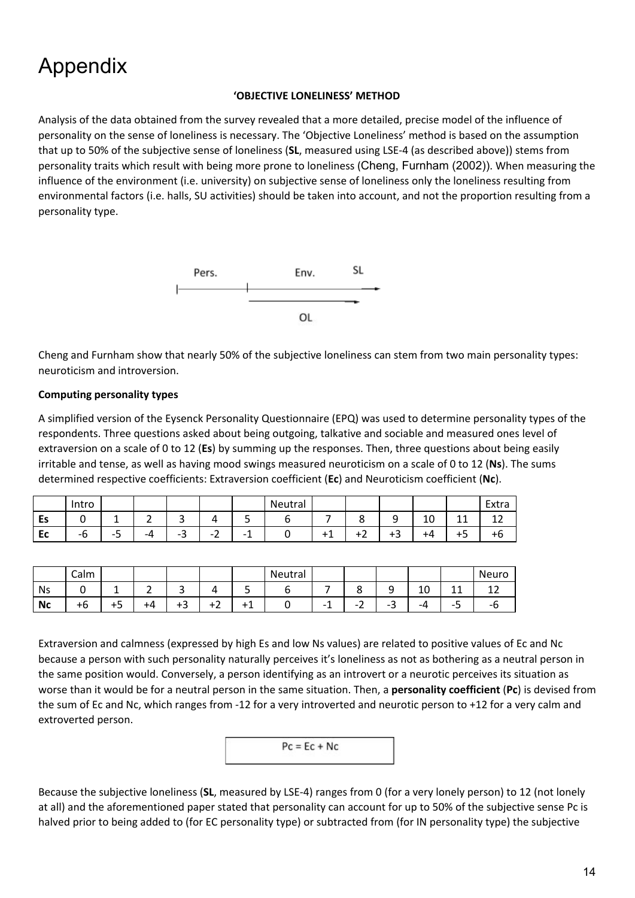# Appendix

#### **'OBJECTIVE LONELINESS' METHOD**

Analysis of the data obtained from the survey revealed that a more detailed, precise model of the influence of personality on the sense of loneliness is necessary. The 'Objective Loneliness' method is based on the assumption that up to 50% of the subjective sense of loneliness (**SL**, measured using LSE-4 (as described above)) stems from personality traits which result with being more prone to loneliness (Cheng, Furnham (2002)). When measuring the influence of the environment (i.e. university) on subjective sense of loneliness only the loneliness resulting from environmental factors (i.e. halls, SU activities) should be taken into account, and not the proportion resulting from a personality type.



Cheng and Furnham show that nearly 50% of the subjective loneliness can stem from two main personality types: neuroticism and introversion.

#### **Computing personality types**

A simplified version of the Eysenck Personality Questionnaire (EPQ) was used to determine personality types of the respondents. Three questions asked about being outgoing, talkative and sociable and measured ones level of extraversion on a scale of 0 to 12 (**Es**) by summing up the responses. Then, three questions about being easily irritable and tense, as well as having mood swings measured neuroticism on a scale of 0 to 12 (**Ns**). The sums determined respective coefficients: Extraversion coefficient (**Ec**) and Neuroticism coefficient (**Nc**).

|    | Intro           |         |              |               |                         |                                | Neutral |            |               |    |     | Extra  |
|----|-----------------|---------|--------------|---------------|-------------------------|--------------------------------|---------|------------|---------------|----|-----|--------|
| Es |                 |         |              | ັ             |                         | ٮ                              |         |            | {<br>. .<br>╯ | ΨU | . . | -<br>∸ |
| Ec | -<br>$-h$<br>ັບ | -7<br>ٮ | $\mathbf{I}$ | ∽<br>- 1<br>ے | ∽<br>$\sim$ $\sim$<br>- | $\overline{\phantom{0}}$<br>-- |         | . .<br>. . | כד            |    | -   | +6     |

|           | Calm |   |    |        |   |   | Neutral |                               |               |               |             |         | Neuro |
|-----------|------|---|----|--------|---|---|---------|-------------------------------|---------------|---------------|-------------|---------|-------|
| Ns        |      |   |    | ∽<br>ٮ |   | ັ |         |                               | ີ             | ∽             | $\sim$<br>ᆚ | --      |       |
| <b>Nc</b> | ×ь   | ے | +4 | ∽<br>ت | ▵ | - |         | $\overline{\phantom{0}}$<br>- | ∽<br>- 1<br>- | ⌒<br>- -<br>ັ | -4          | --<br>ັ |       |

Extraversion and calmness (expressed by high Es and low Ns values) are related to positive values of Ec and Nc because a person with such personality naturally perceives it's loneliness as not as bothering as a neutral person in the same position would. Conversely, a person identifying as an introvert or a neurotic perceives its situation as worse than it would be for a neutral person in the same situation. Then, a **personality coefficient** (**Pc**) is devised from the sum of Ec and Nc, which ranges from -12 for a very introverted and neurotic person to +12 for a very calm and extroverted person.



Because the subjective loneliness (**SL**, measured by LSE-4) ranges from 0 (for a very lonely person) to 12 (not lonely at all) and the aforementioned paper stated that personality can account for up to 50% of the subjective sense Pc is halved prior to being added to (for EC personality type) or subtracted from (for IN personality type) the subjective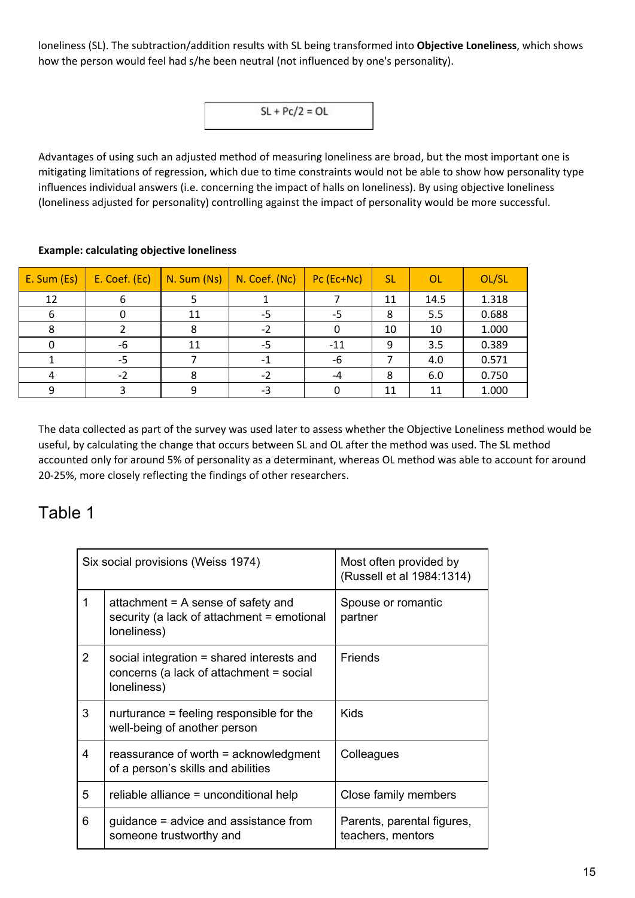loneliness (SL). The subtraction/addition results with SL being transformed into **Objective Loneliness**, which shows how the person would feel had s/he been neutral (not influenced by one's personality).



Advantages of using such an adjusted method of measuring loneliness are broad, but the most important one is mitigating limitations of regression, which due to time constraints would not be able to show how personality type influences individual answers (i.e. concerning the impact of halls on loneliness). By using objective loneliness (loneliness adjusted for personality) controlling against the impact of personality would be more successful.

#### **Example: calculating objective loneliness**

| E. Sum (Es) | E. Coef. (Ec) | N. Sum (Ns) | N. Coef. (Nc) | $PC$ (Ec+Nc) | <b>SL</b> | <b>OL</b> | OL/SL |
|-------------|---------------|-------------|---------------|--------------|-----------|-----------|-------|
| 12          | b             |             |               |              | 11        | 14.5      | 1.318 |
| 6           |               | 11          | -5            | -5           | 8         | 5.5       | 0.688 |
|             |               |             | $-2$          |              | 10        | 10        | 1.000 |
|             | -6            | 11          | -5            | $-11$        | 9         | 3.5       | 0.389 |
|             | -5            |             | -1            | -6           |           | 4.0       | 0.571 |
|             |               |             | $-2$          | -4           | 8         | 6.0       | 0.750 |
|             |               |             | -3            |              | 11        | 11        | 1.000 |

The data collected as part of the survey was used later to assess whether the Objective Loneliness method would be useful, by calculating the change that occurs between SL and OL after the method was used. The SL method accounted only for around 5% of personality as a determinant, whereas OL method was able to account for around 20-25%, more closely reflecting the findings of other researchers.

### Table 1

|                | Six social provisions (Weiss 1974)                                                                  | Most often provided by<br>(Russell et al 1984:1314) |
|----------------|-----------------------------------------------------------------------------------------------------|-----------------------------------------------------|
| 1              | attachment = A sense of safety and<br>security (a lack of attachment = emotional<br>loneliness)     | Spouse or romantic<br>partner                       |
| $\overline{2}$ | social integration = shared interests and<br>concerns (a lack of attachment = social<br>loneliness) | <b>Friends</b>                                      |
| 3              | nurturance = feeling responsible for the<br>well-being of another person                            | Kids                                                |
| 4              | reassurance of worth = acknowledgment<br>of a person's skills and abilities                         | Colleagues                                          |
| 5              | reliable alliance = unconditional help                                                              | Close family members                                |
| 6              | guidance = advice and assistance from<br>someone trustworthy and                                    | Parents, parental figures,<br>teachers, mentors     |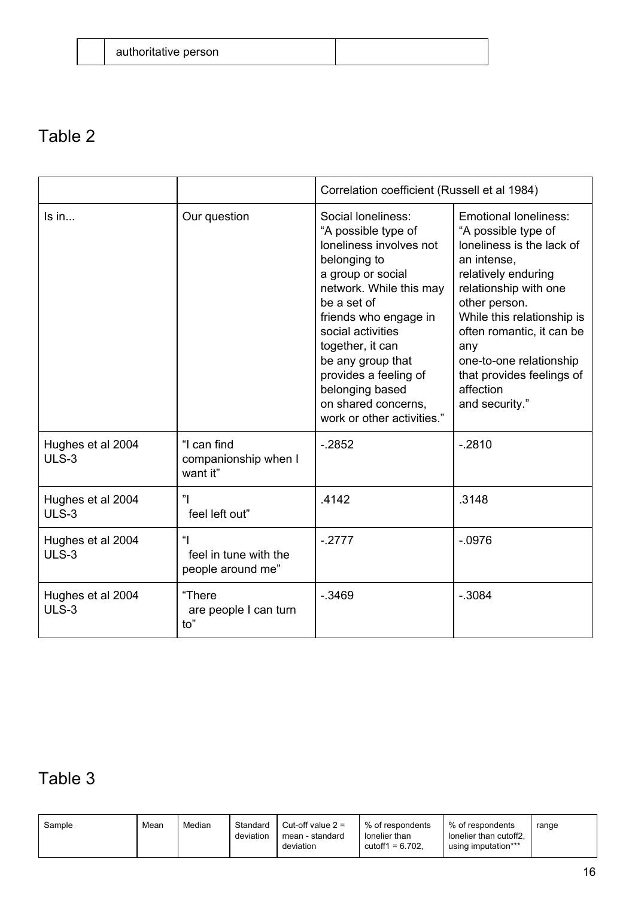| authoritative person |  |
|----------------------|--|
|                      |  |

### Table 2

|                            |                                                 | Correlation coefficient (Russell et al 1984)                                                                                                                                                                                                                                                                                                |                                                                                                                                                                                                                                                                                                                    |
|----------------------------|-------------------------------------------------|---------------------------------------------------------------------------------------------------------------------------------------------------------------------------------------------------------------------------------------------------------------------------------------------------------------------------------------------|--------------------------------------------------------------------------------------------------------------------------------------------------------------------------------------------------------------------------------------------------------------------------------------------------------------------|
| $ls$ in                    | Our question                                    | Social loneliness:<br>"A possible type of<br>loneliness involves not<br>belonging to<br>a group or social<br>network. While this may<br>be a set of<br>friends who engage in<br>social activities<br>together, it can<br>be any group that<br>provides a feeling of<br>belonging based<br>on shared concerns,<br>work or other activities." | Emotional loneliness:<br>"A possible type of<br>loneliness is the lack of<br>an intense,<br>relatively enduring<br>relationship with one<br>other person.<br>While this relationship is<br>often romantic, it can be<br>any<br>one-to-one relationship<br>that provides feelings of<br>affection<br>and security." |
| Hughes et al 2004<br>ULS-3 | "I can find<br>companionship when I<br>want it" | $-2852$                                                                                                                                                                                                                                                                                                                                     | $-2810$                                                                                                                                                                                                                                                                                                            |
| Hughes et al 2004<br>ULS-3 | feel left out"                                  | .4142                                                                                                                                                                                                                                                                                                                                       | .3148                                                                                                                                                                                                                                                                                                              |
| Hughes et al 2004<br>ULS-3 | "<br>feel in tune with the<br>people around me" | $-2777$                                                                                                                                                                                                                                                                                                                                     | $-.0976$                                                                                                                                                                                                                                                                                                           |
| Hughes et al 2004<br>ULS-3 | "There<br>are people I can turn<br>to"          | $-0.3469$                                                                                                                                                                                                                                                                                                                                   | $-.3084$                                                                                                                                                                                                                                                                                                           |

### Table 3

| Sample | Mean | Median | Standard<br>deviation | Cut-off value $2 =$<br>mean - standard<br>deviation | % of respondents<br>lonelier than<br>cutoff1 = $6.702$ . | % of respondents<br>lonelier than cutoff2,<br>using imputation*** | range |
|--------|------|--------|-----------------------|-----------------------------------------------------|----------------------------------------------------------|-------------------------------------------------------------------|-------|
|        |      |        |                       |                                                     |                                                          |                                                                   |       |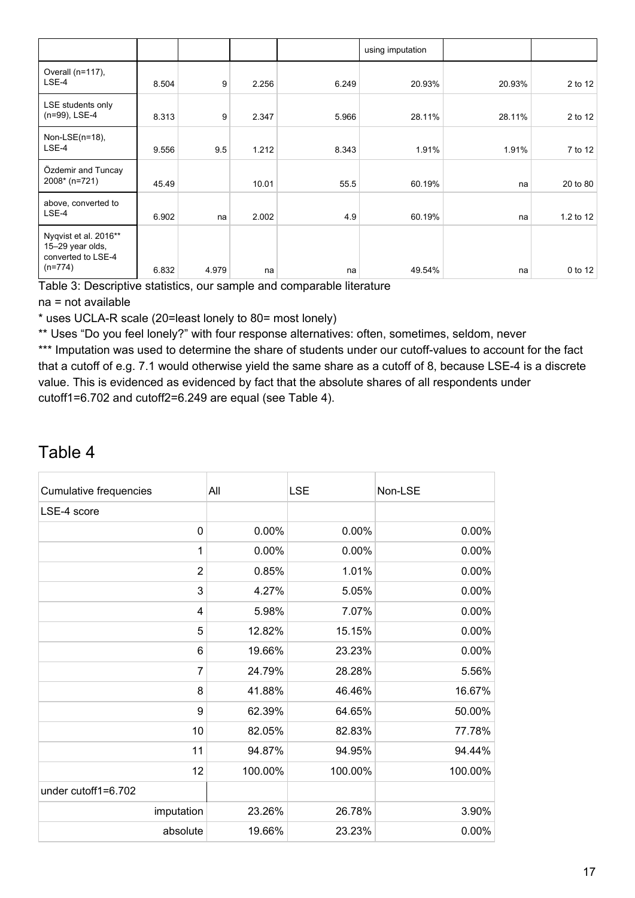|                                                                              |       |       |       |       | using imputation |        |           |
|------------------------------------------------------------------------------|-------|-------|-------|-------|------------------|--------|-----------|
| Overall (n=117),<br>LSE-4                                                    | 8.504 | 9     | 2.256 | 6.249 | 20.93%           | 20.93% | 2 to 12   |
| LSE students only<br>(n=99), LSE-4                                           | 8.313 | 9     | 2.347 | 5.966 | 28.11%           | 28.11% | 2 to 12   |
| Non-LSE $(n=18)$ ,<br>LSE-4                                                  | 9.556 | 9.5   | 1.212 | 8.343 | 1.91%            | 1.91%  | 7 to 12   |
| Özdemir and Tuncay<br>2008* (n=721)                                          | 45.49 |       | 10.01 | 55.5  | 60.19%           | na     | 20 to 80  |
| above, converted to<br>LSE-4                                                 | 6.902 | na    | 2.002 | 4.9   | 60.19%           | na     | 1.2 to 12 |
| Nyqvist et al. 2016**<br>15-29 year olds,<br>converted to LSE-4<br>$(n=774)$ | 6.832 | 4.979 | na    | na    | 49.54%           | na     | 0 to 12   |

Table 3: Descriptive statistics, our sample and comparable literature

na = not available

\* uses UCLA-R scale (20=least lonely to 80= most lonely)

\*\* Uses "Do you feel lonely?" with four response alternatives: often, sometimes, seldom, never \*\*\* Imputation was used to determine the share of students under our cutoff-values to account for the fact that a cutoff of e.g. 7.1 would otherwise yield the same share as a cutoff of 8, because LSE-4 is a discrete value. This is evidenced as evidenced by fact that the absolute shares of all respondents under cutoff1=6.702 and cutoff2=6.249 are equal (see Table 4).

#### Table 4

| Cumulative frequencies | All     | <b>LSE</b> | Non-LSE  |
|------------------------|---------|------------|----------|
| LSE-4 score            |         |            |          |
| $\mathbf 0$            | 0.00%   | 0.00%      | 0.00%    |
| 1                      | 0.00%   | 0.00%      | 0.00%    |
| $\overline{2}$         | 0.85%   | 1.01%      | 0.00%    |
| 3                      | 4.27%   | 5.05%      | 0.00%    |
| 4                      | 5.98%   | 7.07%      | 0.00%    |
| 5                      | 12.82%  | 15.15%     | 0.00%    |
| 6                      | 19.66%  | 23.23%     | 0.00%    |
| $\overline{7}$         | 24.79%  | 28.28%     | 5.56%    |
| 8                      | 41.88%  | 46.46%     | 16.67%   |
| 9                      | 62.39%  | 64.65%     | 50.00%   |
| 10                     | 82.05%  | 82.83%     | 77.78%   |
| 11                     | 94.87%  | 94.95%     | 94.44%   |
| 12                     | 100.00% | 100.00%    | 100.00%  |
| under cutoff1=6.702    |         |            |          |
| imputation             | 23.26%  | 26.78%     | 3.90%    |
| absolute               | 19.66%  | 23.23%     | $0.00\%$ |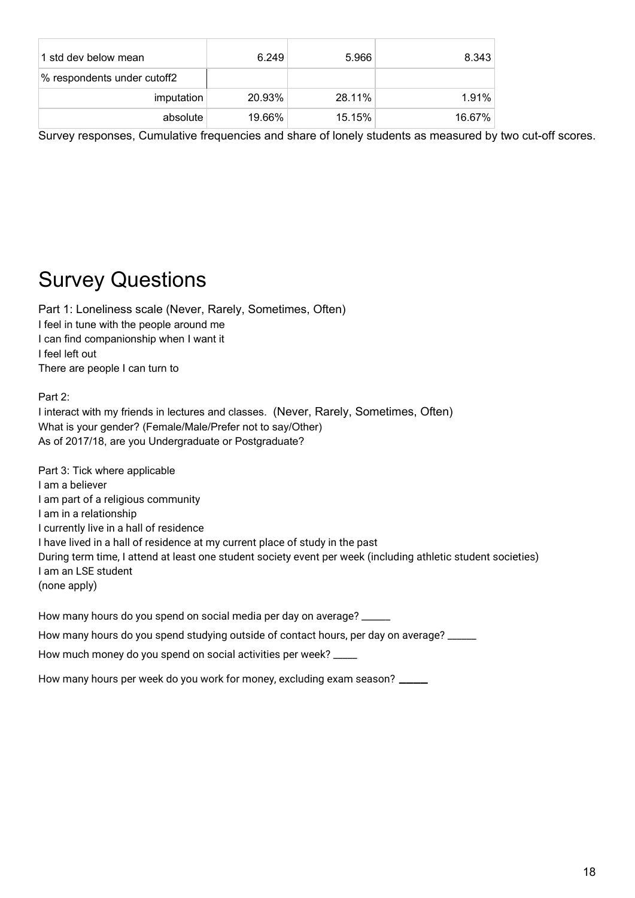| 1 std dev below mean        | 6.249  | 5.966  | 8.343  |
|-----------------------------|--------|--------|--------|
| % respondents under cutoff2 |        |        |        |
| imputation                  | 20.93% | 28.11% | 1.91%  |
| absolute                    | 19.66% | 15.15% | 16.67% |

Survey responses, Cumulative frequencies and share of lonely students as measured by two cut-off scores.

## Survey Questions

Part 1: Loneliness scale (Never, Rarely, Sometimes, Often) I feel in tune with the people around me I can find companionship when I want it I feel left out There are people I can turn to

Part 2:

I interact with my friends in lectures and classes. (Never, Rarely, Sometimes, Often) What is your gender? (Female/Male/Prefer not to say/Other) As of 2017/18, are you Undergraduate or Postgraduate?

Part 3: Tick where applicable I am a believer I am part of a religious community I am in a relationship I currently live in a hall of residence I have lived in a hall of residence at my current place of study in the past During term time, I attend at least one student society event per week (including athletic student societies) I am an LSE student (none apply)

How many hours do you spend on social media per day on average? \_\_\_\_\_\_ How many hours do you spend studying outside of contact hours, per day on average? \_\_\_\_\_\_ How much money do you spend on social activities per week? \_\_\_\_\_

How many hours per week do you work for money, excluding exam season? \_\_\_\_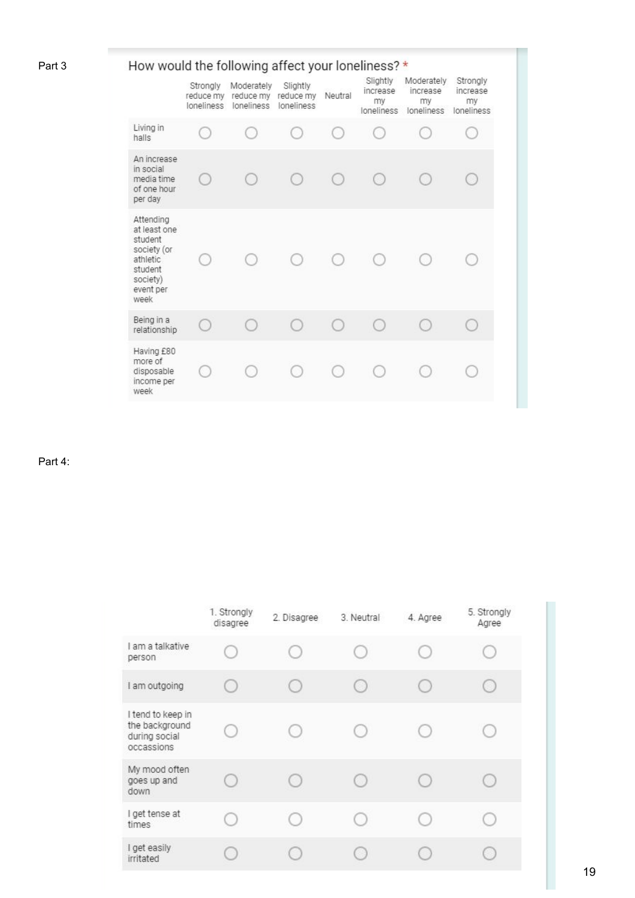#### How would the following affect your loneliness? \* Part 3

|                                                                                                             | Strongly<br>reduce my<br>loneliness | Moderately<br>reduce my<br><b>Ioneliness</b> | Slightly<br>reduce my<br>loneliness | Neutral | Slightly<br>increase<br>my<br>loneliness      | Moderately<br>increase<br>my<br>loneliness | Strongly<br>increase<br>my<br>Ioneliness |
|-------------------------------------------------------------------------------------------------------------|-------------------------------------|----------------------------------------------|-------------------------------------|---------|-----------------------------------------------|--------------------------------------------|------------------------------------------|
| Living in<br>halls                                                                                          |                                     | œ                                            |                                     |         |                                               |                                            | 97                                       |
| An increase<br>in social<br>media time<br>of one hour<br>per day                                            |                                     |                                              |                                     |         | $\left( \begin{array}{c} \end{array} \right)$ |                                            | œ                                        |
| Attending<br>at least one<br>student<br>society (or<br>athletic<br>student<br>society)<br>event per<br>week |                                     |                                              |                                     |         |                                               |                                            |                                          |
| Being in a<br>relationship                                                                                  |                                     | Ω                                            |                                     |         | $\left( \begin{array}{c} \end{array} \right)$ |                                            | m                                        |
| Having £80<br>more of<br>disposable<br>income per<br>week                                                   |                                     | b.                                           |                                     |         |                                               |                                            |                                          |

Part 4:

|                                                                    | 1. Strongly<br>disagree | 2. Disagree | 3. Neutral | 4. Agree | 5. Strongly<br>Agree |
|--------------------------------------------------------------------|-------------------------|-------------|------------|----------|----------------------|
| I am a talkative<br>person                                         |                         |             |            |          |                      |
| I am outgoing                                                      |                         | C           | œ          | <b>C</b> | 93                   |
| I tend to keep in<br>the background<br>during social<br>occassions |                         |             | 0          |          |                      |
| My mood often<br>goes up and<br>down                               |                         |             | 96         | r.       | ×                    |
| I get tense at<br>times                                            |                         | C           | O          | n        | Ŧ.                   |
| I get easily<br>irritated                                          |                         |             |            | Œ        | 91                   |
|                                                                    |                         |             |            |          |                      |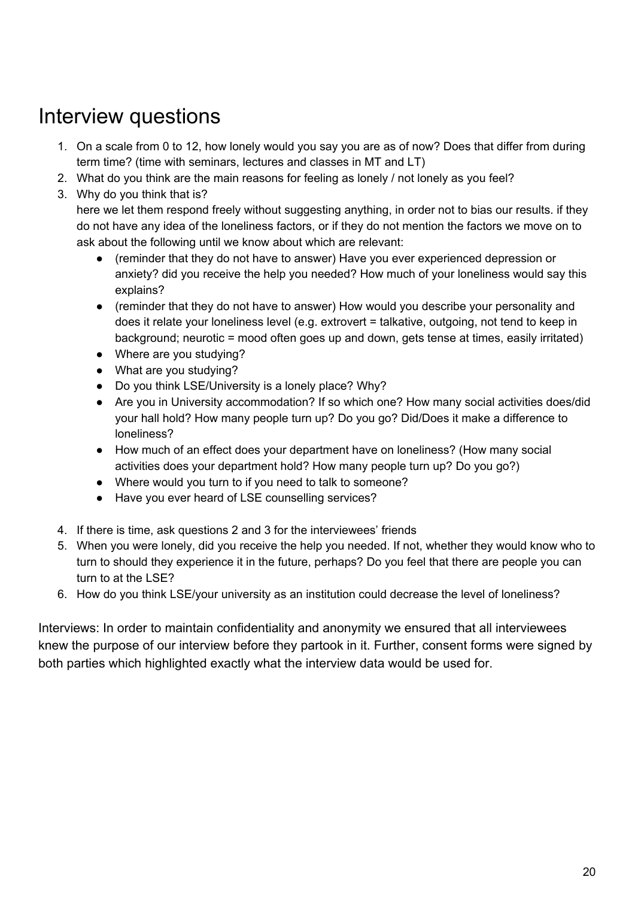## Interview questions

- 1. On a scale from 0 to 12, how lonely would you say you are as of now? Does that differ from during term time? (time with seminars, lectures and classes in MT and LT)
- 2. What do you think are the main reasons for feeling as lonely / not lonely as you feel?
- 3. Why do you think that is?

here we let them respond freely without suggesting anything, in order not to bias our results. if they do not have any idea of the loneliness factors, or if they do not mention the factors we move on to ask about the following until we know about which are relevant:

- (reminder that they do not have to answer) Have you ever experienced depression or anxiety? did you receive the help you needed? How much of your loneliness would say this explains?
- (reminder that they do not have to answer) How would you describe your personality and does it relate your loneliness level (e.g. extrovert = talkative, outgoing, not tend to keep in background; neurotic = mood often goes up and down, gets tense at times, easily irritated)
- Where are you studying?
- What are you studying?
- Do you think LSE/University is a lonely place? Why?
- Are you in University accommodation? If so which one? How many social activities does/did your hall hold? How many people turn up? Do you go? Did/Does it make a difference to loneliness?
- How much of an effect does your department have on loneliness? (How many social activities does your department hold? How many people turn up? Do you go?)
- Where would you turn to if you need to talk to someone?
- Have you ever heard of LSE counselling services?
- 4. If there is time, ask questions 2 and 3 for the interviewees' friends
- 5. When you were lonely, did you receive the help you needed. If not, whether they would know who to turn to should they experience it in the future, perhaps? Do you feel that there are people you can turn to at the LSE?
- 6. How do you think LSE/your university as an institution could decrease the level of loneliness?

Interviews: In order to maintain confidentiality and anonymity we ensured that all interviewees knew the purpose of our interview before they partook in it. Further, consent forms were signed by both parties which highlighted exactly what the interview data would be used for.